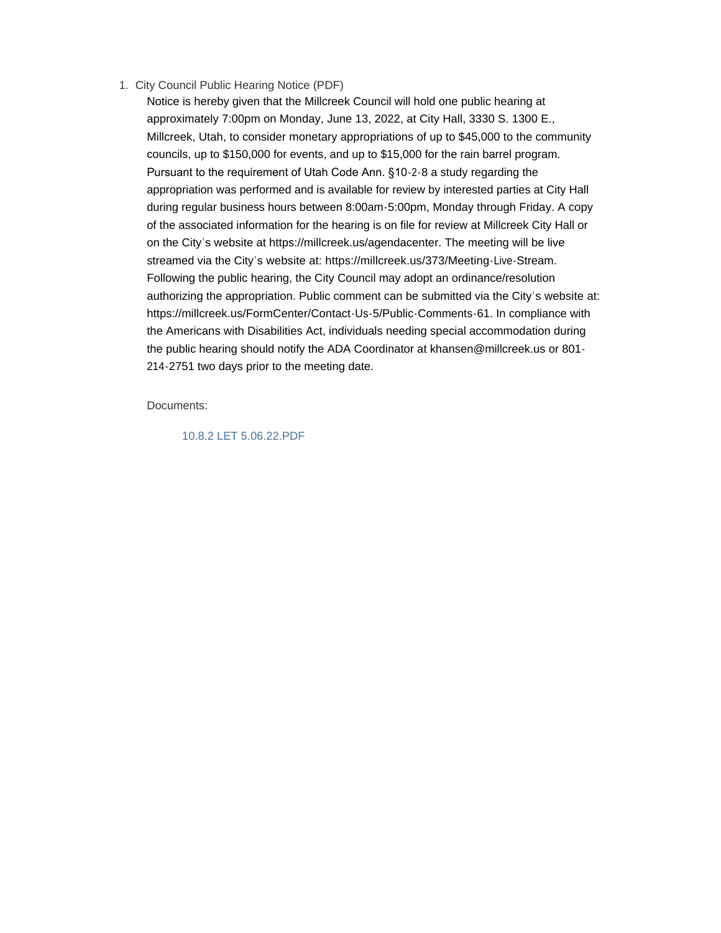1. City Council Public Hearing Notice (PDF)

Notice is hereby given that the Millcreek Council will hold one public hearing at approximately 7:00pm on Monday, June 13, 2022, at City Hall, 3330 S. 1300 E., Millcreek, Utah, to consider monetary appropriations of up to \$45,000 to the community councils, up to \$150,000 for events, and up to \$15,000 for the rain barrel program. Pursuant to the requirement of Utah Code Ann. §10-2-8 a study regarding the appropriation was performed and is available for review by interested parties at City Hall during regular business hours between 8:00am-5:00pm, Monday through Friday. A copy of the associated information for the hearing is on file for review at Millcreek City Hall or on the City's website at https://millcreek.us/agendacenter. The meeting will be live streamed via the City's website at: https://millcreek.us/373/Meeting-Live-Stream. Following the public hearing, the City Council may adopt an ordinance/resolution authorizing the appropriation. Public comment can be submitted via the City's website at: https://millcreek.us/FormCenter/Contact-Us-5/Public-Comments-61. In compliance with the Americans with Disabilities Act, individuals needing special accommodation during the public hearing should notify the ADA Coordinator at khansen@millcreek.us or 801- 214-2751 two days prior to the meeting date.

Documents:

10.8.2 LET 5.06.22.PDF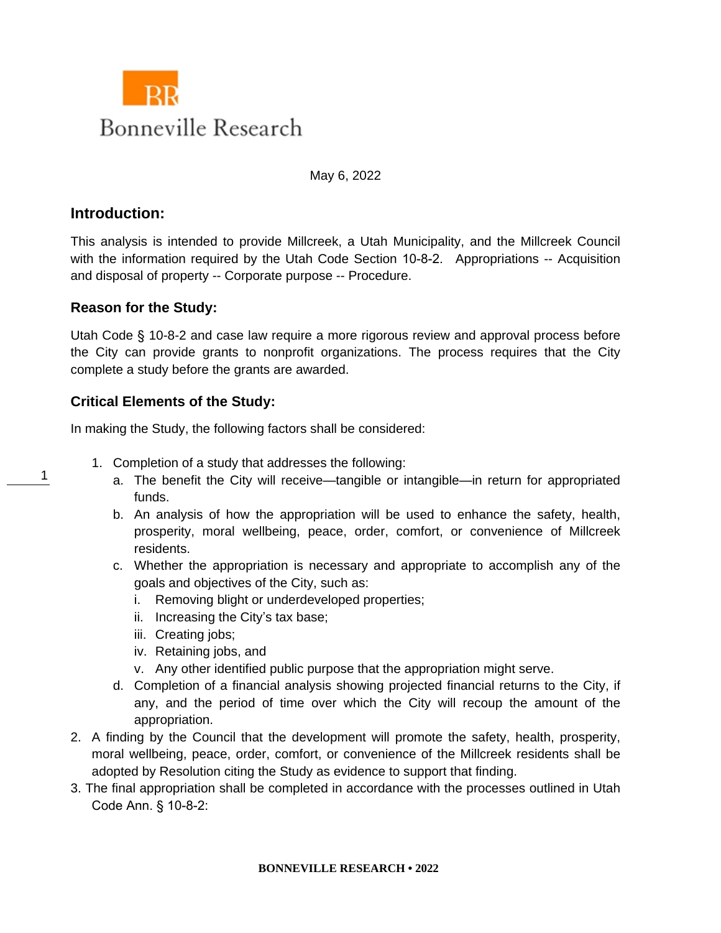

May 6, 2022

## **Introduction:**

This analysis is intended to provide Millcreek, a Utah Municipality, and the Millcreek Council with the information required by the Utah Code Section 10-8-2. Appropriations -- Acquisition and disposal of property -- Corporate purpose -- Procedure.

### **Reason for the Study:**

Utah Code § 10-8-2 and case law require a more rigorous review and approval process before the City can provide grants to nonprofit organizations. The process requires that the City complete a study before the grants are awarded.

## **Critical Elements of the Study:**

In making the Study, the following factors shall be considered:

- 1. Completion of a study that addresses the following:
	- a. The benefit the City will receive—tangible or intangible—in return for appropriated funds.
	- b. An analysis of how the appropriation will be used to enhance the safety, health, prosperity, moral wellbeing, peace, order, comfort, or convenience of Millcreek residents.
	- c. Whether the appropriation is necessary and appropriate to accomplish any of the goals and objectives of the City, such as:
		- i. Removing blight or underdeveloped properties;
		- ii. Increasing the City's tax base;
		- iii. Creating jobs;
		- iv. Retaining jobs, and
		- v. Any other identified public purpose that the appropriation might serve.
	- d. Completion of a financial analysis showing projected financial returns to the City, if any, and the period of time over which the City will recoup the amount of the appropriation.
- 2. A finding by the Council that the development will promote the safety, health, prosperity, moral wellbeing, peace, order, comfort, or convenience of the Millcreek residents shall be adopted by Resolution citing the Study as evidence to support that finding.
- 3. The final appropriation shall be completed in accordance with the processes outlined in Utah Code Ann. § 10-8-2:

1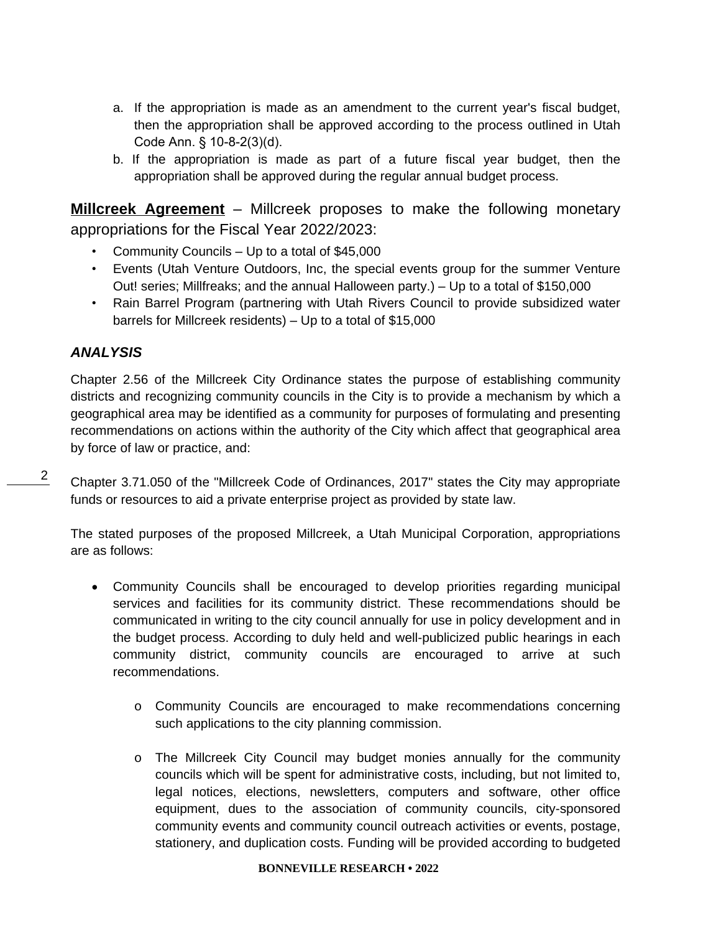- a. If the appropriation is made as an amendment to the current year's fiscal budget, then the appropriation shall be approved according to the process outlined in Utah Code Ann. § 10-8-2(3)(d).
- b. If the appropriation is made as part of a future fiscal year budget, then the appropriation shall be approved during the regular annual budget process.

**Millcreek Agreement** – Millcreek proposes to make the following monetary appropriations for the Fiscal Year 2022/2023:

- Community Councils Up to a total of \$45,000
- Events (Utah Venture Outdoors, Inc, the special events group for the summer Venture Out! series; Millfreaks; and the annual Halloween party.) – Up to a total of \$150,000
- Rain Barrel Program (partnering with Utah Rivers Council to provide subsidized water barrels for Millcreek residents) – Up to a total of \$15,000

# *ANALYSIS*

 $\mathfrak{D}$ 

Chapter 2.56 of the Millcreek City Ordinance states the purpose of establishing community districts and recognizing community councils in the City is to provide a mechanism by which a geographical area may be identified as a community for purposes of formulating and presenting recommendations on actions within the authority of the City which affect that geographical area by force of law or practice, and:

Chapter 3.71.050 of the "Millcreek Code of Ordinances, 2017" states the City may appropriate funds or resources to aid a private enterprise project as provided by state law.

The stated purposes of the proposed Millcreek, a Utah Municipal Corporation, appropriations are as follows:

- Community Councils shall be encouraged to develop priorities regarding municipal services and facilities for its community district. These recommendations should be communicated in writing to the city council annually for use in policy development and in the budget process. According to duly held and well-publicized public hearings in each community district, community councils are encouraged to arrive at such recommendations.
	- o Community Councils are encouraged to make recommendations concerning such applications to the city planning commission.
	- o The Millcreek City Council may budget monies annually for the community councils which will be spent for administrative costs, including, but not limited to, legal notices, elections, newsletters, computers and software, other office equipment, dues to the association of community councils, city-sponsored community events and community council outreach activities or events, postage, stationery, and duplication costs. Funding will be provided according to budgeted

#### **BONNEVILLE RESEARCH • 2022**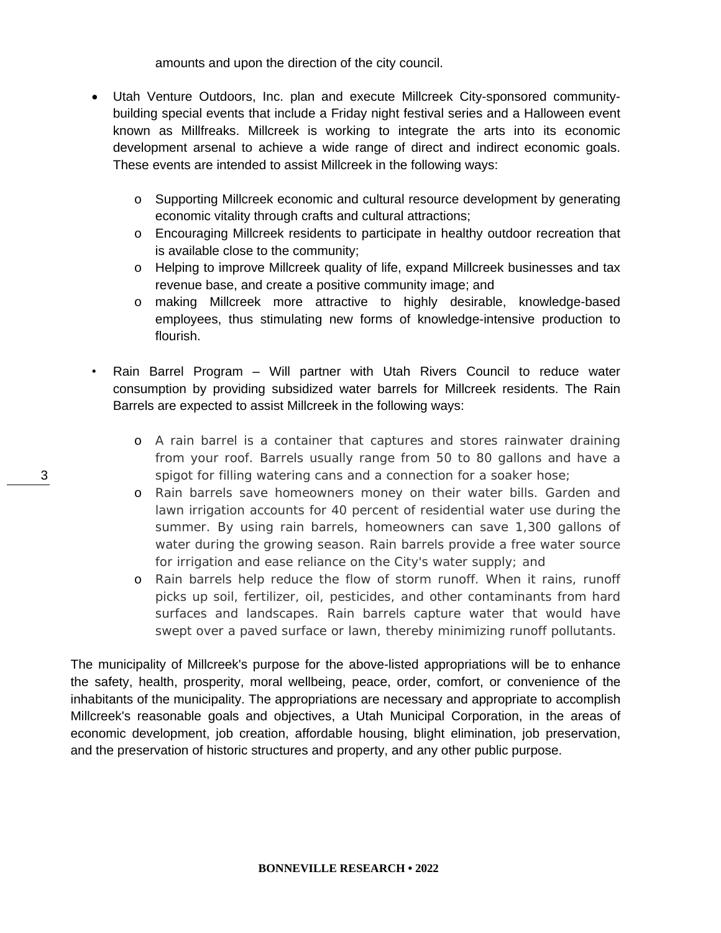amounts and upon the direction of the city council.

- Utah Venture Outdoors, Inc. plan and execute Millcreek City-sponsored communitybuilding special events that include a Friday night festival series and a Halloween event known as Millfreaks. Millcreek is working to integrate the arts into its economic development arsenal to achieve a wide range of direct and indirect economic goals. These events are intended to assist Millcreek in the following ways:
	- o Supporting Millcreek economic and cultural resource development by generating economic vitality through crafts and cultural attractions;
	- o Encouraging Millcreek residents to participate in healthy outdoor recreation that is available close to the community;
	- o Helping to improve Millcreek quality of life, expand Millcreek businesses and tax revenue base, and create a positive community image; and
	- o making Millcreek more attractive to highly desirable, knowledge-based employees, thus stimulating new forms of knowledge-intensive production to flourish.
- Rain Barrel Program Will partner with Utah Rivers Council to reduce water consumption by providing subsidized water barrels for Millcreek residents. The Rain Barrels are expected to assist Millcreek in the following ways:
	- o A rain barrel is a container that captures and stores rainwater draining from your roof. Barrels usually range from 50 to 80 gallons and have a spigot for filling watering cans and a connection for a soaker hose;
	- o Rain barrels save homeowners money on their water bills. Garden and lawn irrigation accounts for 40 percent of residential water use during the summer. By using rain barrels, homeowners can save 1,300 gallons of water during the growing season. Rain barrels provide a free water source for irrigation and ease reliance on the City's water supply; and
	- o Rain barrels help reduce the flow of storm runoff. When it rains, runoff picks up soil, fertilizer, oil, pesticides, and other contaminants from hard surfaces and landscapes. Rain barrels capture water that would have swept over a paved surface or lawn, thereby minimizing runoff pollutants.

The municipality of Millcreek's purpose for the above-listed appropriations will be to enhance the safety, health, prosperity, moral wellbeing, peace, order, comfort, or convenience of the inhabitants of the municipality. The appropriations are necessary and appropriate to accomplish Millcreek's reasonable goals and objectives, a Utah Municipal Corporation, in the areas of economic development, job creation, affordable housing, blight elimination, job preservation, and the preservation of historic structures and property, and any other public purpose.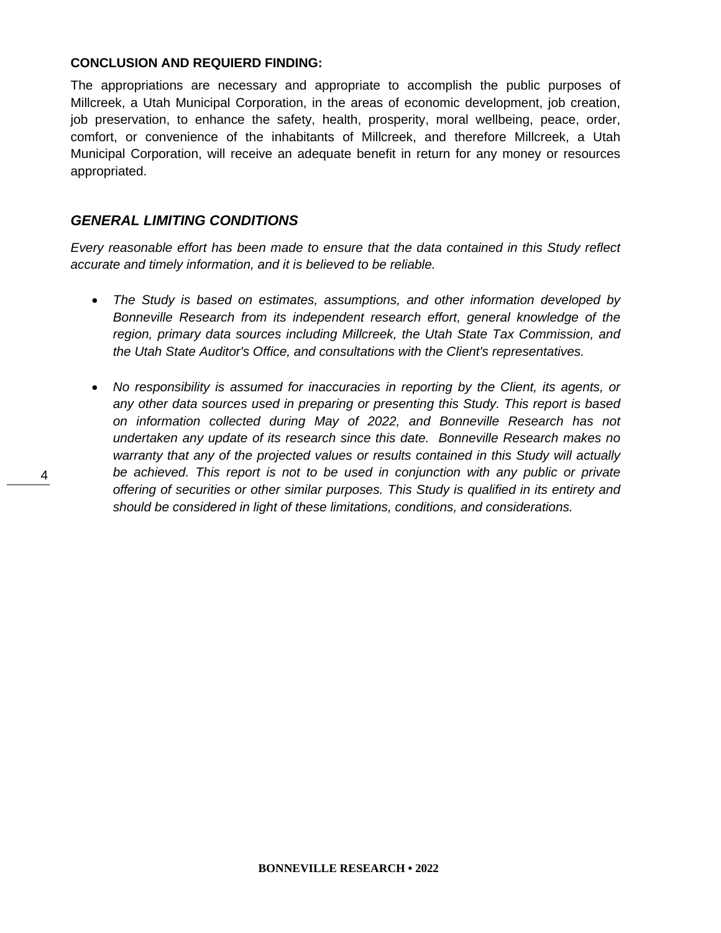#### **CONCLUSION AND REQUIERD FINDING:**

The appropriations are necessary and appropriate to accomplish the public purposes of Millcreek, a Utah Municipal Corporation, in the areas of economic development, job creation, job preservation, to enhance the safety, health, prosperity, moral wellbeing, peace, order, comfort, or convenience of the inhabitants of Millcreek, and therefore Millcreek, a Utah Municipal Corporation, will receive an adequate benefit in return for any money or resources appropriated.

## *GENERAL LIMITING CONDITIONS*

*Every reasonable effort has been made to ensure that the data contained in this Study reflect accurate and timely information, and it is believed to be reliable.*

- *The Study is based on estimates, assumptions, and other information developed by Bonneville Research from its independent research effort, general knowledge of the region, primary data sources including Millcreek, the Utah State Tax Commission, and the Utah State Auditor's Office, and consultations with the Client's representatives.*
- *No responsibility is assumed for inaccuracies in reporting by the Client, its agents, or any other data sources used in preparing or presenting this Study. This report is based on information collected during May of 2022, and Bonneville Research has not undertaken any update of its research since this date. Bonneville Research makes no warranty that any of the projected values or results contained in this Study will actually be achieved. This report is not to be used in conjunction with any public or private offering of securities or other similar purposes. This Study is qualified in its entirety and should be considered in light of these limitations, conditions, and considerations.*